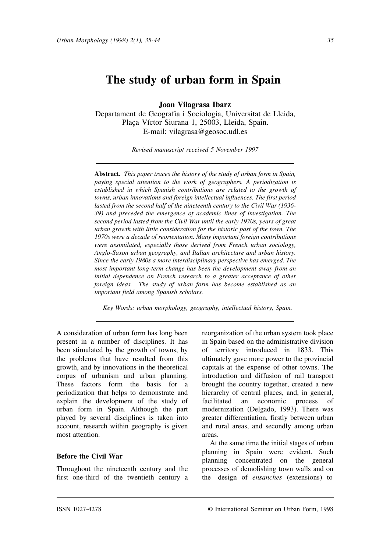# **The study of urban form in Spain**

**Joan Vilagrasa Ibarz**

Departament de Geografia i Sociologia, Universitat de Lleida, Plaça Víctor Siurana 1, 25003, Lleida, Spain. E-mail: vilagrasa@geosoc.udl.es

*Revised manuscript received 5 November 1997*

**Abstract.** *This paper traces the history of the study of urban form in Spain, paying special attention to the work of geographers. A periodization is established in which Spanish contributions are related to the growth of towns, urban innovations and foreign intellectual influences. The first period lasted from the second half of the nineteenth century to the Civil War (1936- 39) and preceded the emergence of academic lines of investigation. The second period lasted from the Civil War until the early 1970s, years of great urban growth with little consideration for the historic past of the town. The 1970s were a decade of reorientation. Many important foreign contributions were assimilated, especially those derived from French urban sociology, Anglo-Saxon urban geography, and Italian architecture and urban history. Since the early 1980s a more interdisciplinary perspective has emerged. The most important long-term change has been the development away from an initial dependence on French research to a greater acceptance of other foreign ideas. The study of urban form has become established as an important field among Spanish scholars.*

*Key Words: urban morphology, geography, intellectual history, Spain.*

A consideration of urban form has long been present in a number of disciplines. It has been stimulated by the growth of towns, by the problems that have resulted from this growth, and by innovations in the theoretical corpus of urbanism and urban planning. These factors form the basis for a periodization that helps to demonstrate and explain the development of the study of urban form in Spain. Although the part played by several disciplines is taken into account, research within geography is given most attention.

#### **Before the Civil War**

Throughout the nineteenth century and the first one-third of the twentieth century a reorganization of the urban system took place in Spain based on the administrative division of territory introduced in 1833. This ultimately gave more power to the provincial capitals at the expense of other towns. The introduction and diffusion of rail transport brought the country together, created a new hierarchy of central places, and, in general, facilitated an economic process of modernization (Delgado, 1993). There was greater differentiation, firstly between urban and rural areas, and secondly among urban areas.

At the same time the initial stages of urban planning in Spain were evident. Such planning concentrated on the general processes of demolishing town walls and on the design of *ensanches* (extensions) to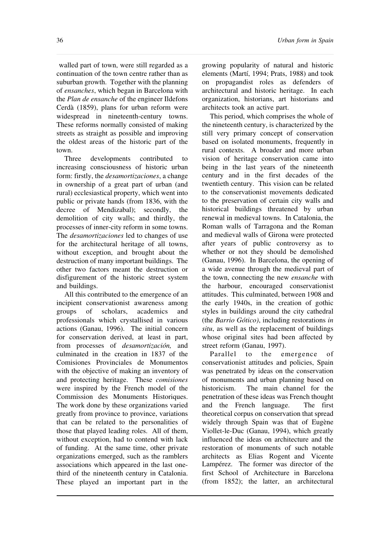walled part of town, were still regarded as a continuation of the town centre rather than as suburban growth. Together with the planning of *ensanches*, which began in Barcelona with the *Plan de ensanche* of the engineer Ildefons Cerdà (1859), plans for urban reform were widespread in nineteenth-century towns. These reforms normally consisted of making streets as straight as possible and improving the oldest areas of the historic part of the town.

Three developments contributed to increasing consciousness of historic urban form: firstly, the *desamortizaciones*, a change in ownership of a great part of urban (and rural) ecclesiastical property, which went into public or private hands (from 1836, with the decree of Mendizabal); secondly, the demolition of city walls; and thirdly, the processes of inner-city reform in some towns. The *desamortizaciones* led to changes of use for the architectural heritage of all towns, without exception, and brought about the destruction of many important buildings. The other two factors meant the destruction or disfigurement of the historic street system and buildings.

All this contributed to the emergence of an incipient conservationist awareness among groups of scholars, academics and professionals which crystallised in various actions (Ganau, 1996). The initial concern for conservation derived, at least in part, from processes of *desamortización,* and culminated in the creation in 1837 of the Comisiones Provinciales de Monumentos with the objective of making an inventory of and protecting heritage. These *comisiones* were inspired by the French model of the Commission des Monuments Historiques. The work done by these organizations varied greatly from province to province, variations that can be related to the personalities of those that played leading roles. All of them, without exception, had to contend with lack of funding. At the same time, other private organizations emerged, such as the ramblers associations which appeared in the last onethird of the nineteenth century in Catalonia. These played an important part in the

growing popularity of natural and historic elements (Martí, 1994; Prats, 1988) and took on propagandist roles as defenders of architectural and historic heritage. In each organization, historians, art historians and architects took an active part.

This period, which comprises the whole of the nineteenth century, is characterized by the still very primary concept of conservation based on isolated monuments, frequently in rural contexts. A broader and more urban vision of heritage conservation came into being in the last years of the nineteenth century and in the first decades of the twentieth century. This vision can be related to the conservationist movements dedicated to the preservation of certain city walls and historical buildings threatened by urban renewal in medieval towns. In Catalonia, the Roman walls of Tarragona and the Roman and medieval walls of Girona were protected after years of public controversy as to whether or not they should be demolished (Ganau, 1996). In Barcelona, the opening of a wide avenue through the medieval part of the town, connecting the new *ensanche* with the harbour, encouraged conservationist attitudes. This culminated, between 1908 and the early 1940s, in the creation of gothic styles in buildings around the city cathedral (the *Barrio Gótico)*, including restorations *in situ*, as well as the replacement of buildings whose original sites had been affected by street reform (Ganau, 1997).

Parallel to the emergence of conservationist attitudes and policies, Spain was penetrated by ideas on the conservation of monuments and urban planning based on historicism. The main channel for the penetration of these ideas was French thought and the French language. The first theoretical corpus on conservation that spread widely through Spain was that of Eugène Viollet-le-Duc (Ganau, 1994), which greatly influenced the ideas on architecture and the restoration of monuments of such notable architects as Elias Rogent and Vicente Lampérez. The former was director of the first School of Architecture in Barcelona (from 1852); the latter, an architectural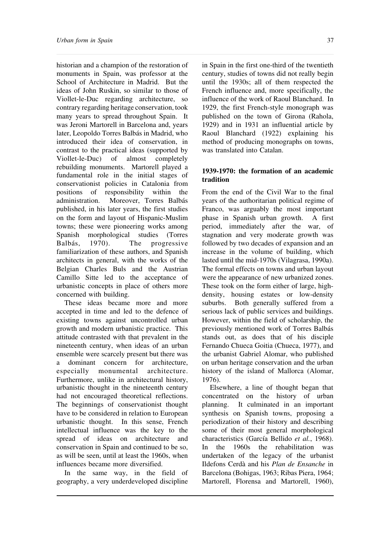historian and a champion of the restoration of monuments in Spain, was professor at the School of Architecture in Madrid. But the ideas of John Ruskin, so similar to those of Viollet-le-Duc regarding architecture, so contrary regarding heritage conservation, took many years to spread throughout Spain. It was Jeroni Martorell in Barcelona and, years later, Leopoldo Torres Balbás in Madrid, who introduced their idea of conservation, in contrast to the practical ideas (supported by Viollet-le-Duc) of almost completely rebuilding monuments. Martorell played a fundamental role in the initial stages of conservationist policies in Catalonia from positions of responsibility within the administration. Moreover, Torres Balbás published, in his later years, the first studies on the form and layout of Hispanic-Muslim towns; these were pioneering works among Spanish morphological studies (Torres Balbás, 1970). The progressive familiarization of these authors, and Spanish architects in general, with the works of the Belgian Charles Buls and the Austrian Camillo Sitte led to the acceptance of urbanistic concepts in place of others more concerned with building.

These ideas became more and more accepted in time and led to the defence of existing towns against uncontrolled urban growth and modern urbanistic practice. This attitude contrasted with that prevalent in the nineteenth century, when ideas of an urban ensemble were scarcely present but there was a dominant concern for architecture, especially monumental architecture. Furthermore, unlike in architectural history, urbanistic thought in the nineteenth century had not encouraged theoretical reflections. The beginnings of conservationist thought have to be considered in relation to European urbanistic thought. In this sense, French intellectual influence was the key to the spread of ideas on architecture and conservation in Spain and continued to be so, as will be seen, until at least the 1960s, when influences became more diversified.

In the same way, in the field of geography, a very underdeveloped discipline

in Spain in the first one-third of the twentieth century, studies of towns did not really begin until the 1930s; all of them respected the French influence and, more specifically, the influence of the work of Raoul Blanchard. In 1929, the first French-style monograph was published on the town of Girona (Rahola, 1929) and in 1931 an influential article by Raoul Blanchard (1922) explaining his method of producing monographs on towns, was translated into Catalan.

# **1939-1970: the formation of an academic tradition**

From the end of the Civil War to the final years of the authoritarian political regime of Franco, was arguably the most important phase in Spanish urban growth. A first period, immediately after the war, of stagnation and very moderate growth was followed by two decades of expansion and an increase in the volume of building, which lasted until the mid-1970s (Vilagrasa, 1990a). The formal effects on towns and urban layout were the appearance of new urbanized zones. These took on the form either of large, highdensity, housing estates or low-density suburbs. Both generally suffered from a serious lack of public services and buildings. However, within the field of scholarship, the previously mentioned work of Torres Balbás stands out, as does that of his disciple Fernando Chueca Goitia (Chueca, 1977), and the urbanist Gabriel Alomar, who published on urban heritage conservation and the urban history of the island of Mallorca (Alomar, 1976).

Elsewhere, a line of thought began that concentrated on the history of urban planning. It culminated in an important synthesis on Spanish towns, proposing a periodization of their history and describing some of their most general morphological characteristics (García Bellido *et al.*, 1968). In the 1960s the rehabilitation was undertaken of the legacy of the urbanist Ildefons Cerdà and his *Plan de Ensanche* in Barcelona (Bohigas, 1963; Ribas Piera, 1964; Martorell, Florensa and Martorell, 1960),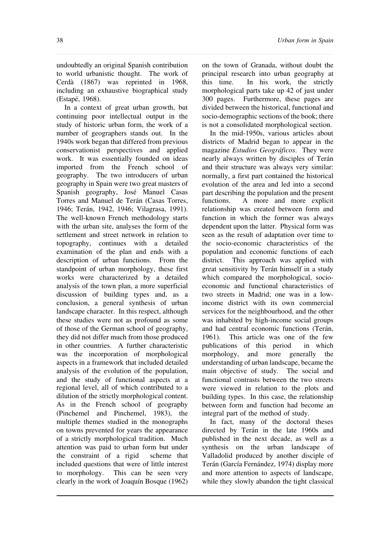undoubtedly an original Spanish contribution to world urbanistic thought. The work of Cerdà (1867) was reprinted in 1968, including an exhaustive biographical study (Estapé, 1968).

In a context of great urban growth, but continuing poor intellectual output in the study of historic urban form, the work of a number of geographers stands out. In the 1940s work began that differed from previous conservationist perspectives and applied work. It was essentially founded on ideas imported from the French school of geography. The two introducers of urban geography in Spain were two great masters of Spanish geography, José Manuel Casas Torres and Manuel de Terán (Casas Torres, 1946; Terán, 1942, 1946; Vilagrasa, 1991). The well-known French methodology starts with the urban site, analyses the form of the settlement and street network in relation to topography, continues with a detailed examination of the plan and ends with a description of urban functions. From the standpoint of urban morphology, these first works were characterized by a detailed analysis of the town plan, a more superficial discussion of building types and, as a conclusion, a general synthesis of urban landscape character. In this respect, although these studies were not as profound as some of those of the German school of geography, they did not differ much from those produced in other countries. A further characteristic was the incorporation of morphological aspects in a framework that included detailed analysis of the evolution of the population, and the study of functional aspects at a regional level, all of which contributed to a dilution of the strictly morphological content. As in the French school of geography (Pinchemel and Pinchemel, 1983), the multiple themes studied in the monographs on towns prevented for years the appearance of a strictly morphological tradition. Much attention was paid to urban form but under the constraint of a rigid scheme that included questions that were of little interest to morphology. This can be seen very clearly in the work of Joaquín Bosque (1962)

on the town of Granada, without doubt the principal research into urban geography at this time. In his work, the strictly morphological parts take up 42 of just under 300 pages. Furthermore, these pages are divided between the historical, functional and socio-demographic sections of the book; there is not a consolidated morphological section.

In the mid-1950s, various articles about districts of Madrid began to appear in the magazine *Estudios Geográficos*. They were nearly always written by disciples of Terán and their structure was always very similar: normally, a first part contained the historical evolution of the area and led into a second part describing the population and the present functions. A more and more explicit relationship was created between form and function in which the former was always dependent upon the latter. Physical form was seen as the result of adaptation over time to the socio-economic characteristics of the population and economic functions of each district. This approach was applied with great sensitivity by Terán himself in a study which compared the morphological, socioeconomic and functional characteristics of two streets in Madrid; one was in a lowincome district with its own commercial services for the neighbourhood, and the other was inhabited by high-income social groups and had central economic functions (Terán, 1961). This article was one of the few publications of this period in which morphology, and more generally the understanding of urban landscape, became the main objective of study. The social and functional contrasts between the two streets were viewed in relation to the plots and building types. In this case, the relationship between form and function had become an integral part of the method of study.

In fact, many of the doctoral theses directed by Terán in the late 1960s and published in the next decade, as well as a synthesis on the urban landscape of Valladolid produced by another disciple of Terán (García Fernández, 1974) display more and more attention to aspects of landscape, while they slowly abandon the tight classical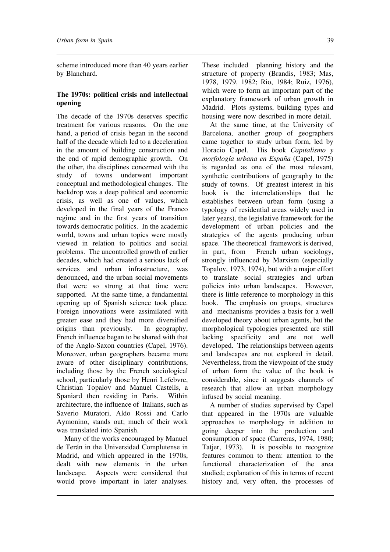scheme introduced more than 40 years earlier by Blanchard.

# **The 1970s: political crisis and intellectual opening**

The decade of the 1970s deserves specific treatment for various reasons. On the one hand, a period of crisis began in the second half of the decade which led to a deceleration in the amount of building construction and the end of rapid demographic growth. On the other, the disciplines concerned with the study of towns underwent important conceptual and methodological changes. The backdrop was a deep political and economic crisis, as well as one of values, which developed in the final years of the Franco regime and in the first years of transition towards democratic politics. In the academic world, towns and urban topics were mostly viewed in relation to politics and social problems. The uncontrolled growth of earlier decades, which had created a serious lack of services and urban infrastructure, was denounced, and the urban social movements that were so strong at that time were supported. At the same time, a fundamental opening up of Spanish science took place. Foreign innovations were assimilated with greater ease and they had more diversified origins than previously. In geography, French influence began to be shared with that of the Anglo-Saxon countries (Capel, 1976). Moreover, urban geographers became more aware of other disciplinary contributions, including those by the French sociological school, particularly those by Henri Lefebvre, Christian Topalov and Manuel Castells, a Spaniard then residing in Paris. Within architecture, the influence of Italians, such as Saverio Muratori, Aldo Rossi and Carlo Aymonino, stands out; much of their work was translated into Spanish.

Many of the works encouraged by Manuel de Terán in the Universidad Complutense in Madrid, and which appeared in the 1970s, dealt with new elements in the urban landscape. Aspects were considered that would prove important in later analyses. These included planning history and the structure of property (Brandis, 1983; Mas, 1978, 1979, 1982; Rio, 1984; Ruiz, 1976), which were to form an important part of the

explanatory framework of urban growth in Madrid. Plots systems, building types and

housing were now described in more detail. At the same time, at the University of Barcelona, another group of geographers came together to study urban form, led by Horacio Capel. His book *Capitalismo y morfología urbana en España* (Capel, 1975) is regarded as one of the most relevant, synthetic contributions of geography to the study of towns. Of greatest interest in his book is the interrelationships that he establishes between urban form (using a typology of residential areas widely used in later years), the legislative framework for the development of urban policies and the strategies of the agents producing urban space. The theoretical framework is derived, in part, from French urban sociology, strongly influenced by Marxism (especially Topalov, 1973, 1974), but with a major effort to translate social strategies and urban policies into urban landscapes. However, there is little reference to morphology in this book. The emphasis on groups, structures and mechanisms provides a basis for a well developed theory about urban agents, but the morphological typologies presented are still lacking specificity and are not well developed. The relationships between agents and landscapes are not explored in detail. Nevertheless, from the viewpoint of the study of urban form the value of the book is considerable, since it suggests channels of research that allow an urban morphology infused by social meaning.

A number of studies supervised by Capel that appeared in the 1970s are valuable approaches to morphology in addition to going deeper into the production and consumption of space (Carreras, 1974, 1980; Tatjer, 1973). It is possible to recognize features common to them: attention to the functional characterization of the area studied; explanation of this in terms of recent history and, very often, the processes of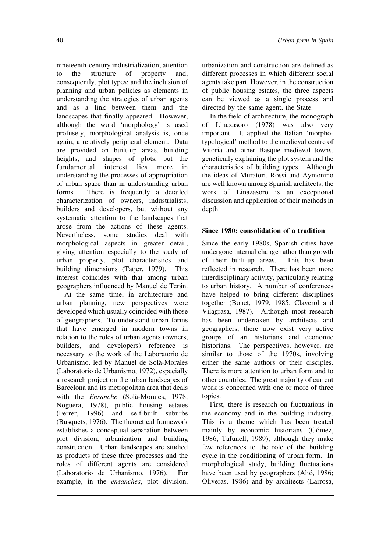nineteenth-century industrialization; attention to the structure of property and, consequently, plot types; and the inclusion of planning and urban policies as elements in understanding the strategies of urban agents and as a link between them and the landscapes that finally appeared. However, although the word 'morphology' is used profusely, morphological analysis is, once again, a relatively peripheral element. Data are provided on built-up areas, building heights, and shapes of plots, but the fundamental interest lies more in understanding the processes of appropriation of urban space than in understanding urban forms. There is frequently a detailed characterization of owners, industrialists, builders and developers, but without any systematic attention to the landscapes that arose from the actions of these agents. Nevertheless, some studies deal with morphological aspects in greater detail, giving attention especially to the study of urban property, plot characteristics and building dimensions (Tatjer, 1979). This interest coincides with that among urban geographers influenced by Manuel de Terán.

At the same time, in architecture and urban planning, new perspectives were developed which usually coincided with those of geographers. To understand urban forms that have emerged in modern towns in relation to the roles of urban agents (owners, builders, and developers) reference is necessary to the work of the Laboratorio de Urbanismo, led by Manuel de Solà-Morales (Laboratorio de Urbanismo, 1972), especially a research project on the urban landscapes of Barcelona and its metropolitan area that deals with the *Ensanche* (Solà-Morales, 1978; Noguera, 1978), public housing estates (Ferrer, 1996) and self-built suburbs (Busquets, 1976). The theoretical framework establishes a conceptual separation between plot division, urbanization and building construction. Urban landscapes are studied as products of these three processes and the roles of different agents are considered (Laboratorio de Urbanismo, 1976). For example, in the *ensanches*, plot division,

urbanization and construction are defined as different processes in which different social agents take part. However, in the construction of public housing estates, the three aspects can be viewed as a single process and directed by the same agent, the State.

In the field of architecture, the monograph of Linazasoro (1978) was also very important. It applied the Italian 'morphotypological' method to the medieval centre of Vitoria and other Basque medieval towns, genetically explaining the plot system and the characteristics of building types. Although the ideas of Muratori, Rossi and Aymonino are well known among Spanish architects, the work of Linazasoro is an exceptional discussion and application of their methods in depth.

## **Since 1980: consolidation of a tradition**

Since the early 1980s, Spanish cities have undergone internal change rather than growth of their built-up areas. This has been reflected in research. There has been more interdisciplinary activity, particularly relating to urban history. A number of conferences have helped to bring different disciplines together (Bonet, 1979, 1985; Claverol and Vilagrasa, 1987). Although most research has been undertaken by architects and geographers, there now exist very active groups of art historians and economic historians. The perspectives, however, are similar to those of the 1970s, involving either the same authors or their disciples. There is more attention to urban form and to other countries. The great majority of current work is concerned with one or more of three topics.

First, there is research on fluctuations in the economy and in the building industry. This is a theme which has been treated mainly by economic historians (Gómez, 1986; Tafunell, 1989), although they make few references to the role of the building cycle in the conditioning of urban form. In morphological study, building fluctuations have been used by geographers (Alió, 1986; Oliveras, 1986) and by architects (Larrosa,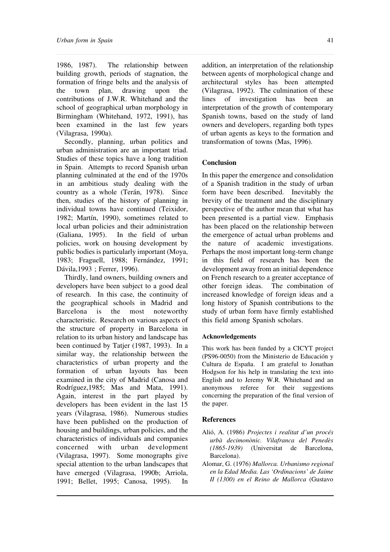1986, 1987). The relationship between building growth, periods of stagnation, the formation of fringe belts and the analysis of the town plan, drawing upon the contributions of J.W.R. Whitehand and the school of geographical urban morphology in Birmingham (Whitehand, 1972, 1991), has been examined in the last few years (Vilagrasa, 1990a).

Secondly, planning, urban politics and urban administration are an important triad. Studies of these topics have a long tradition in Spain. Attempts to record Spanish urban planning culminated at the end of the 1970s in an ambitious study dealing with the country as a whole (Terán, 1978). Since then, studies of the history of planning in individual towns have continued (Teixidor, 1982; Martín, 1990), sometimes related to local urban policies and their administration (Galiana, 1995). In the field of urban policies, work on housing development by public bodies is particularly important (Moya, 1983; Fraguell, 1988; Fernández, 1991; Dávila,1993 ; Ferrer, 1996).

Thirdly, land owners, building owners and developers have been subject to a good deal of research. In this case, the continuity of the geographical schools in Madrid and Barcelona is the most noteworthy characteristic. Research on various aspects of the structure of property in Barcelona in relation to its urban history and landscape has been continued by Tatjer (1987, 1993). In a similar way, the relationship between the characteristics of urban property and the formation of urban layouts has been examined in the city of Madrid (Canosa and Rodríguez,1985; Mas and Mata, 1991). Again, interest in the part played by developers has been evident in the last 15 years (Vilagrasa, 1986). Numerous studies have been published on the production of housing and buildings, urban policies, and the characteristics of individuals and companies concerned with urban development (Vilagrasa, 1997). Some monographs give special attention to the urban landscapes that have emerged (Vilagrasa, 1990b; Arriola, 1991; Bellet, 1995; Canosa, 1995). In

addition, an interpretation of the relationship between agents of morphological change and architectural styles has been attempted (Vilagrasa, 1992). The culmination of these lines of investigation has been an interpretation of the growth of contemporary Spanish towns, based on the study of land owners and developers, regarding both types of urban agents as keys to the formation and transformation of towns (Mas, 1996).

#### **Conclusion**

In this paper the emergence and consolidation of a Spanish tradition in the study of urban form have been described. Inevitably the brevity of the treatment and the disciplinary perspective of the author mean that what has been presented is a partial view. Emphasis has been placed on the relationship between the emergence of actual urban problems and the nature of academic investigations. Perhaps the most important long-term change in this field of research has been the development away from an initial dependence on French research to a greater acceptance of other foreign ideas. The combination of increased knowledge of foreign ideas and a long history of Spanish contributions to the study of urban form have firmly established this field among Spanish scholars.

#### **Acknowledgements**

This work has been funded by a CICYT project (PS96-0050) from the Ministerio de Educación y Cultura de España. I am grateful to Jonathan Hodgson for his help in translating the text into English and to Jeremy W.R. Whitehand and an anonymous referee for their suggestions concerning the preparation of the final version of the paper.

#### **References**

- Alió, A. (1986) *Projectes i realitat d'un procés urbà decimonònic. Vilafranca del Penedès (1865-1939)* (Universitat de Barcelona, Barcelona).
- Alomar, G. (1976) *Mallorca. Urbanismo regional en la Edad Media. Las 'Ordinacions' de Jaime II (1300) en el Reino de Mallorca* (Gustavo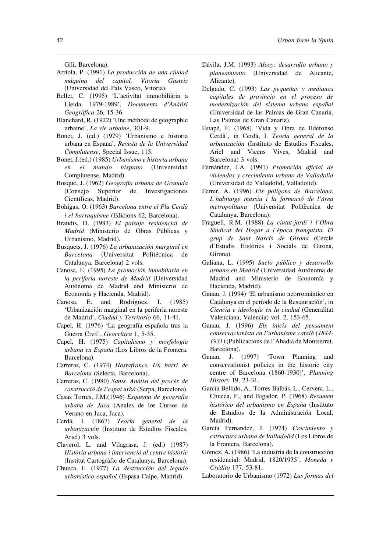Gili, Barcelona).

- Arriola, P. (1991) *La producción de una ciudad máquina del capital. Vitoria Gasteiz* (Universidad del País Vasco, Vitoria).
- Bellet, C. (1995) 'L'activitat immobiliària a Lleida, 1979-1989', *Documents d'Anàlisi Geogràfica* 26, 15-36.
- Blanchard, R. (1922) 'Une méthode de geographie urbaine', *La vie urbaine*, 301-9.
- Bonet, J. (ed.) (1979) 'Urbanismo e historia urbana en España', *Revista de la Universidad Complutense*, Special Issue, 115.
- Bonet, J.(ed.) (1985) *Urbanismo e historia urbana en el mundo hispano* (Universidad Complutense, Madrid).
- Bosque, J. (1962) *Geografía urbana de Granada* (Consejo Superior de Investigaciones Científicas, Madrid).
- Bohigas, O. (1963) *Barcelona entre el Pla Cerdà i el barraquisme* (Edicions 62, Barcelona).
- Brandis, D. (1983) *El paisaje residencial de Madrid* (Ministerio de Obras Públicas y Urbanismo, Madrid).
- Busquets, J. (1976) *La urbanización marginal en Barcelona* (Universitat Politécnica de Catalunya, Barcelona) 2 vols.
- Canosa, E. (1995) *La promoción inmobilaria en la periferia noreste de Madrid* (Universidad Autónoma de Madrid and Ministerio de Economía y Hacienda, Madrid).
- Canosa, E. and Rodriguez, I. (1985) 'Urbanización marginal en la periferia noreste de Madrid', *Ciudad y Territorio* 66, 11-41.
- Capel, H. (1976) 'La geografía española tras la Guerra Civil', *Geocrítica* 1, 5-35.
- Capel, H. (1975) *Capitalismo y morfología urbana en España* (Los Libros de la Frontera, Barcelona).
- Carreras, C. (1974) *Hostafrancs. Un barri de Barcelona* (Selecta, Barcelona).
- Carreras, C. (1980) *Sants. Anàlisi del procès de construcció de l'espai urbà* (Serpa, Barcelona).
- Casas Torres, J.M.(1946) *Esquema de geografía urbana de Jaca* (Anales de los Cursos de Verano en Jaca, Jaca).
- Cerdá, I. (1867) *Teoría general de la urbanización* (Instituto de Estudios Fiscales, Ariel) 3 vols.
- Claverol, L. and Vilagrasa, J. (ed.) (1987) *Història urbana i intervenció al centre històric* (Institut Cartogràfic de Catalunya, Barcelona).
- Chueca, F. (1977) *La destrucción del legado urbanístico español* (Espasa Calpe, Madrid).
- Dávila, J.M. (1993) *Alcoy: desarrollo urbano y planeamiento* (Universidad de Alicante, Alicante).
- Delgado, C. (1993) *Las pequeñas y medianas capitales de provincia en el proceso de modernización del sistema urbano español* (Universidad de las Palmas de Gran Canaria, Las Palmas de Gran Canaria).
- Estapé, F. (1968) 'Vida y Obra de Ildefonso Cerdà', in Cerdà, I. *Teoría general de la urbanización* (Instituto de Estudios Fiscales, Ariel and Vicens Vives, Madrid and Barcelona) 3 vols.
- Fernández, J.A. (1991) *Promoción oficial de viviendas y crecimiento urbano de Valladolid* (Universidad de Valladolid, Valladolid).
- Ferrer, A. (1996) *Els poligons de Barcelona. L'habitatge massiu i la formació de l'àrea metropolitana* (Universitat Politècnica de Catalunya, Barcelona).
- Fraguell, R.M. (1988) *La ciutat-jardí i l'Obra Sindical del Hogar a l'època franquista. El grup de Sant Narcís de Girona* (Cercle d'Estudis Històrics i Socials de Girona, Girona).
- Galiana, L. (1995) *Suelo público y desarrollo urbano en Madrid* (Universidad Autónoma de Madrid and Ministerio de Economía y Hacienda, Madrid).
- Ganau, J. (1994) 'El urbanismo neorromántico en Catalunya en el período de la Restauración', in *Ciencia e ideología en la ciudad* (Generalitat Valenciana, Valencia) vol. 2, 153-65.
- Ganau, J. (1996) *Els inicis del pensament conservacionista en l'urbanisme català (1844- 1931)* (Publicacions de l'Abadia de Montserrat, Barcelona).
- Ganau, J. (1997) 'Town Planning and conservationist policies in the historic city centre of Barcelona (1860-1930)', *Planning History* 19, 23-31.
- García Bellido, A., Torres Balbás, L., Cervera, L., Chueca, F., and Bigador, P. (1968) *Resumen histórico del urbanismo en España* (Instituto de Estudios de la Administración Local, Madrid).
- García Fernandez, J. (1974) *Crecimiento y estructura urbana de Valladolid* (Los Libros de la Frontera, Barcelona).
- Gómez, A. (1986) 'La industria de la construcción residencial: Madrid, 1820/1935', *Moneda y Crédito* 177, 53-81.
- Laboratorio de Urbanismo (1972) *Las formas del*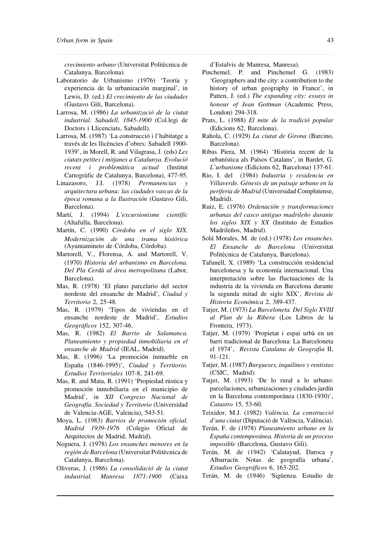*crecimiento urbano* (Universitat Politècnica de Catalunya, Barcelona).

- Laboratorio de Urbanismo (1976) 'Teoría y experiencia de la urbanización marginal', in Lewis, D. (ed.) *El crecimiento de las ciudades* (Gustavo Gili, Barcelona).
- Larrosa, M. (1986) *La urbanització de la ciutat industrial. Sabadell, 1845-1900* (Col.legi de Doctors i Llicenciats, Sabadell).
- Larrosa, M. (1987) 'La construcció i l'habitatge a través de les llicències d'obres: Sabadell 1900- 1939', in Morell, R. and Vilagrasa, J. (eds) *Les ciutats petites i mitjanes a Catalunya. Evolució recent i problemàtica actual* (Institut Cartogràfic de Catalunya, Barcelona), 477-95.
- Linazasoro, J.I. (1978) *Permanencias y arquitectura urbana: las ciudades vascas de la época romana a la Ilustración* (Gustavo Gili, Barcelona).
- Martí, J. (1994) *L'excursionisme científic* (Altafulla, Barcelona).
- Martín, C. (1990) *Córdoba en el siglo XIX. Modernización de una trama histórica* (Ayuntamineto de Córdoba, Córdoba).
- Martorell, V., Florensa, A. and Martorell, V. (1970) *Historia del urbanismo en Barcelona. Del Pla Cerdà al área metropolitana* (Labor, Barcelona).
- Mas, R. (1978) 'El plano parcelario del sector nordeste del ensanche de Madrid', *Ciudad y Territorio* 2, 25-48.
- Mas, R. (1979) 'Tipos de viviendas en el ensanche nordeste de Madrid', *Estudios Geográficos* 152, 307-46.
- Mas, R. (1982) *El Barrio de Salamanca. Planeamiento y propiedad inmobiliaria en el ensanche de Madrid* (IEAL, Madrid).
- Mas, R. (1996) 'La promoción inmueble en España (1846-1995)', *Ciudad y Territorio. Estudios Territoriales* 107-8, 241-69.
- Mas, R. and Mata, R. (1991) 'Propiedad rústica y promoción inmobiliaria en el municipio de Madrid', in *XII Congreso Nacional de Geografía. Sociedad y Territorio* (Universidad de Valencia-AGE, Valencia), 543-51.
- Moya, L. (1983) *Barrios de promoción oficial. Madrid 1939-1976* (Colegio Oficial de Arquitectos de Madrid, Madrid).
- Noguera, J. (1978) *Los ensanches menores en la región de Barcelona* (Universitat Politècnica de Catalunya, Barcelona).
- Oliveras, J. (1986) *La consolidació de la ciutat industrial. Manresa 1871-1900* (Caixa

d'Estalvis de Manresa, Manresa).

- Pinchemel, P. and Pinchemel G. (1983) 'Geographers and the city: a contribution to the history of urban geography in France', in Patten, J. (ed.) *The expanding city: essays in honour of Jean Gottman* (Academic Press, London) 294-318.
- Prats, L. (1988) *El mite de la tradició popular* (Edicions 62, Barcelona).
- Rahola, C. (1929) *La ciutat de Girona* (Barcino, Barcelona).
- Ribas Piera, M. (1964) 'Història recent de la urbanística als Països Catalans', in Bardet, G. *L'urbanisme* (Edicions 62, Barcelona) 137-61.
- Rio, I. del (1984) *Industria y residencia en Villaverde. Génesis de un paisaje urbano en la periferia de Madrid* (Universidad Complutense, Madrid).
- Ruiz, E. (1976) *Ordenación y transformaciones urbanas del casco antiguo madrileño durante los siglos XIX y XX* (Instituto de Estudios Madrileños, Madrid).
- Solá Morales, M. de (ed.) (1978) *Los ensanches. El Ensanche de Barcelona* (Universitat Politècnica de Catalunya, Barcelona).
- Tafunell, X. (1989) 'La construcción residencial barcelonesa y la economía internacional. Una interpretación sobre las fluctuaciones de la industria de la vivienda en Barcelona durante la segunda mitad de siglo XIX', *Revista de Historia Económica* 2, 389-437.
- Tatjer, M. (1973) *La Barceloneta. Del Siglo XVIII al Plan de la Ribera* (Los Libros de la Frontera, 1973).
- Tatjer, M. (1979) 'Propietat i espai urbà en un barri tradicional de Barcelona: La Barceloneta el 1974', *Revista Catalana de Geografia* II, 91-121.
- Tatjer, M. (1987) *Burgueses, inquilinos y rentistas* (CSIC, Madrid).
- Tatjer, M. (1993) 'De lo rural a lo urbano: parcelaciones, urbanizaciones y ciudades jardín en la Barcelona contemporánea (1830-1930)', *Catastro* 15, 53-60.
- Teixidor, M.J. (1982) *València. La construcció d'una ciutat* (Diputació de València, València).
- Terán, F. de (1978) *Planeamiento urbano en la España contemporánea. Historia de un proceso imposible* (Barcelona, Gustavo Gili).
- Terán, M. de (1942) 'Calatayud, Daroca y Albarracín. Notas de geografía urbana', *Estudios Geográficos* 6, 163-202.
- Terán, M. de (1946) 'Sigüenza. Estudio de